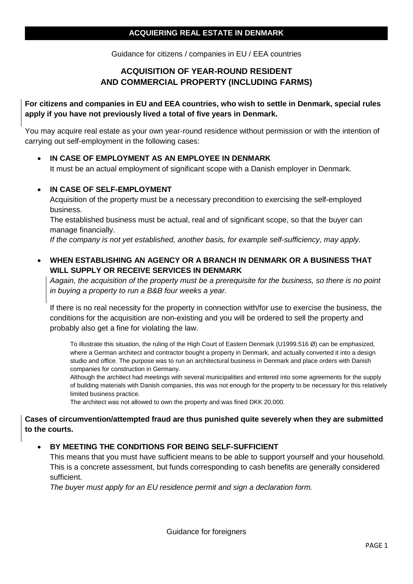## **ACQUIERING REAL ESTATE IN DENMARK**

Guidance for citizens / companies in EU / EEA countries

# **ACQUISITION OF YEAR-ROUND RESIDENT AND COMMERCIAL PROPERTY (INCLUDING FARMS)**

**For citizens and companies in EU and EEA countries, who wish to settle in Denmark, special rules apply if you have not previously lived a total of five years in Denmark.** 

You may acquire real estate as your own year-round residence without permission or with the intention of carrying out self-employment in the following cases:

 **IN CASE OF EMPLOYMENT AS AN EMPLOYEE IN DENMARK**  It must be an actual employment of significant scope with a Danish employer in Denmark.

#### **IN CASE OF SELF-EMPLOYMENT**

Acquisition of the property must be a necessary precondition to exercising the self-employed business.

The established business must be actual, real and of significant scope, so that the buyer can manage financially.

*If the company is not yet established, another basis, for example self-sufficiency, may apply.*

## **WHEN ESTABLISHING AN AGENCY OR A BRANCH IN DENMARK OR A BUSINESS THAT WILL SUPPLY OR RECEIVE SERVICES IN DENMARK**

*Aagain, the acquisition of the property must be a prerequisite for the business, so there is no point in buying a property to run a B&B four weeks a year.*

If there is no real necessity for the property in connection with/for use to exercise the business, the conditions for the acquisition are non-existing and you will be ordered to sell the property and probably also get a fine for violating the law.

To illustrate this situation, the ruling of the High Court of Eastern Denmark (U1999.516 Ø) can be emphasized, where a German architect and contractor bought a property in Denmark, and actually converted it into a design studio and office. The purpose was to run an architectural business in Denmark and place orders with Danish companies for construction in Germany.

Although the architect had meetings with several municipalities and entered into some agreements for the supply of building materials with Danish companies, this was not enough for the property to be necessary for this relatively limited business practice.

The architect was not allowed to own the property and was fined DKK 20,000.

#### **Cases of circumvention/attempted fraud are thus punished quite severely when they are submitted to the courts.**

#### **BY MEETING THE CONDITIONS FOR BEING SELF-SUFFICIENT**

This means that you must have sufficient means to be able to support yourself and your household. This is a concrete assessment, but funds corresponding to cash benefits are generally considered sufficient.

*The buyer must apply for an EU residence permit and sign a declaration form.*

Guidance for foreigners